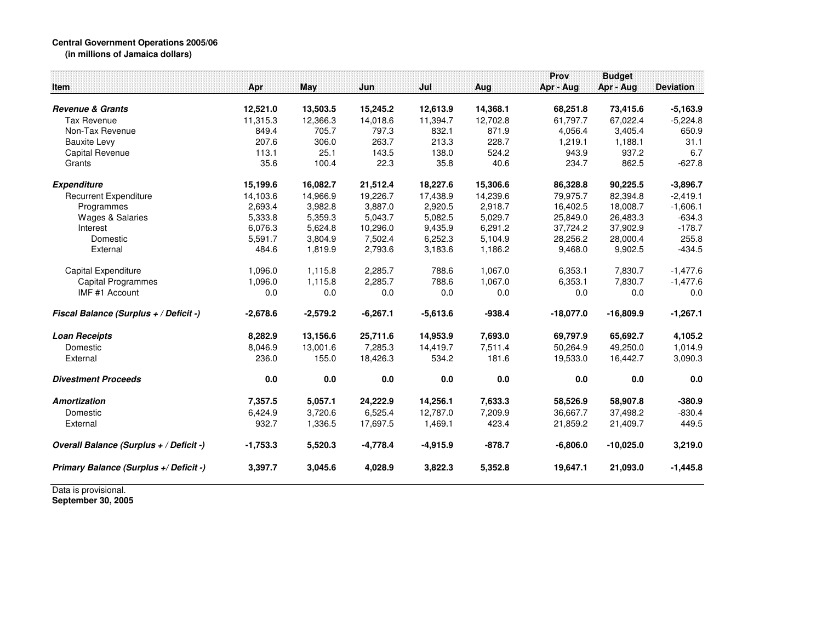## **Central Government Operations 2005/06 (in millions of Jamaica dollars)**

|            |                                                                               |                                                                                           |                                                                              |                                                                      | Prov                                                                        | <b>Budget</b>                                                       |                                                                                 |
|------------|-------------------------------------------------------------------------------|-------------------------------------------------------------------------------------------|------------------------------------------------------------------------------|----------------------------------------------------------------------|-----------------------------------------------------------------------------|---------------------------------------------------------------------|---------------------------------------------------------------------------------|
| Apr        |                                                                               | Jun                                                                                       | Jul                                                                          | Aug                                                                  | Apr - Aug                                                                   | Apr - Aug                                                           | <b>Deviation</b>                                                                |
|            |                                                                               |                                                                                           |                                                                              |                                                                      |                                                                             |                                                                     | $-5,163.9$                                                                      |
|            |                                                                               |                                                                                           |                                                                              |                                                                      |                                                                             |                                                                     | $-5,224.8$                                                                      |
| 849.4      | 705.7                                                                         | 797.3                                                                                     | 832.1                                                                        | 871.9                                                                |                                                                             |                                                                     | 650.9                                                                           |
| 207.6      | 306.0                                                                         | 263.7                                                                                     | 213.3                                                                        | 228.7                                                                | 1,219.1                                                                     | 1,188.1                                                             | 31.1                                                                            |
| 113.1      |                                                                               |                                                                                           | 138.0                                                                        |                                                                      | 943.9                                                                       | 937.2                                                               | 6.7                                                                             |
| 35.6       | 100.4                                                                         | 22.3                                                                                      | 35.8                                                                         | 40.6                                                                 | 234.7                                                                       | 862.5                                                               | $-627.8$                                                                        |
|            |                                                                               |                                                                                           |                                                                              |                                                                      |                                                                             |                                                                     | $-3,896.7$                                                                      |
|            |                                                                               |                                                                                           |                                                                              |                                                                      |                                                                             |                                                                     | $-2,419.1$                                                                      |
|            | 3,982.8                                                                       | 3.887.0                                                                                   | 2.920.5                                                                      | 2,918.7                                                              | 16,402.5                                                                    | 18.008.7                                                            | $-1,606.1$                                                                      |
| 5,333.8    | 5,359.3                                                                       | 5,043.7                                                                                   | 5,082.5                                                                      | 5,029.7                                                              | 25,849.0                                                                    | 26,483.3                                                            | $-634.3$                                                                        |
| 6,076.3    | 5,624.8                                                                       | 10,296.0                                                                                  | 9,435.9                                                                      | 6,291.2                                                              | 37,724.2                                                                    | 37,902.9                                                            | $-178.7$                                                                        |
| 5,591.7    | 3,804.9                                                                       | 7,502.4                                                                                   | 6,252.3                                                                      | 5,104.9                                                              | 28,256.2                                                                    | 28,000.4                                                            | 255.8                                                                           |
| 484.6      | 1,819.9                                                                       | 2,793.6                                                                                   | 3,183.6                                                                      | 1,186.2                                                              | 9,468.0                                                                     | 9,902.5                                                             | $-434.5$                                                                        |
| 1,096.0    | 1,115.8                                                                       | 2,285.7                                                                                   | 788.6                                                                        | 1,067.0                                                              | 6.353.1                                                                     | 7.830.7                                                             | $-1,477.6$                                                                      |
| 1,096.0    | 1,115.8                                                                       | 2,285.7                                                                                   | 788.6                                                                        | 1,067.0                                                              | 6.353.1                                                                     | 7.830.7                                                             | $-1,477.6$                                                                      |
| 0.0        | 0.0                                                                           | 0.0                                                                                       | 0.0                                                                          | 0.0                                                                  | 0.0                                                                         | 0.0                                                                 | 0.0                                                                             |
| $-2,678.6$ | $-2,579.2$                                                                    | $-6,267.1$                                                                                | $-5,613.6$                                                                   | $-938.4$                                                             | $-18,077.0$                                                                 | $-16,809.9$                                                         | $-1,267.1$                                                                      |
|            |                                                                               |                                                                                           |                                                                              |                                                                      |                                                                             |                                                                     | 4,105.2                                                                         |
| 8,046.9    | 13,001.6                                                                      | 7,285.3                                                                                   | 14,419.7                                                                     | 7,511.4                                                              | 50,264.9                                                                    | 49,250.0                                                            | 1,014.9                                                                         |
| 236.0      | 155.0                                                                         | 18,426.3                                                                                  | 534.2                                                                        | 181.6                                                                | 19,533.0                                                                    | 16,442.7                                                            | 3,090.3                                                                         |
| 0.0        | 0.0                                                                           | 0.0                                                                                       | 0.0                                                                          | 0.0                                                                  | 0.0                                                                         | 0.0                                                                 | 0.0                                                                             |
| 7,357.5    | 5,057.1                                                                       | 24,222.9                                                                                  | 14,256.1                                                                     | 7,633.3                                                              | 58,526.9                                                                    | 58,907.8                                                            | $-380.9$                                                                        |
|            |                                                                               |                                                                                           |                                                                              |                                                                      | 36,667.7                                                                    |                                                                     | $-830.4$                                                                        |
| 932.7      | 1,336.5                                                                       | 17,697.5                                                                                  | 1,469.1                                                                      | 423.4                                                                | 21,859.2                                                                    | 21,409.7                                                            | 449.5                                                                           |
| $-1,753.3$ | 5,520.3                                                                       | $-4,778.4$                                                                                | $-4,915.9$                                                                   | $-878.7$                                                             | $-6,806.0$                                                                  | $-10,025.0$                                                         | 3,219.0                                                                         |
| 3,397.7    | 3,045.6                                                                       | 4,028.9                                                                                   | 3,822.3                                                                      | 5,352.8                                                              | 19,647.1                                                                    | 21,093.0                                                            | $-1,445.8$                                                                      |
|            | 12,521.0<br>11,315.3<br>15,199.6<br>14,103.6<br>2,693.4<br>8,282.9<br>6,424.9 | <b>May</b><br>13,503.5<br>12,366.3<br>25.1<br>16,082.7<br>14,966.9<br>13,156.6<br>3,720.6 | 15,245.2<br>14,018.6<br>143.5<br>21,512.4<br>19,226.7<br>25,711.6<br>6,525.4 | 12,613.9<br>11,394.7<br>18,227.6<br>17,438.9<br>14,953.9<br>12,787.0 | 14,368.1<br>12,702.8<br>524.2<br>15,306.6<br>14,239.6<br>7,693.0<br>7,209.9 | 68,251.8<br>61.797.7<br>4,056.4<br>86,328.8<br>79,975.7<br>69,797.9 | 73,415.6<br>67,022.4<br>3,405.4<br>90,225.5<br>82,394.8<br>65,692.7<br>37,498.2 |

Data is provisional. **September 30, 2005**